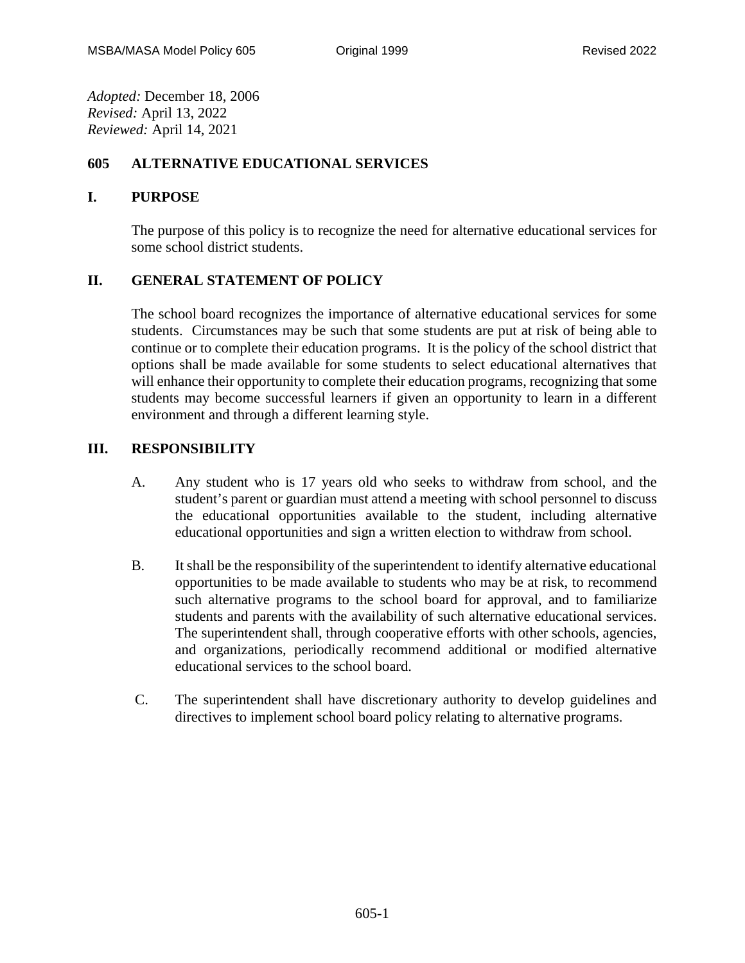*Adopted:* December 18, 2006 *Revised:* April 13, 2022 *Reviewed:* April 14, 2021

## **605 ALTERNATIVE EDUCATIONAL SERVICES**

## **I. PURPOSE**

The purpose of this policy is to recognize the need for alternative educational services for some school district students.

## **II. GENERAL STATEMENT OF POLICY**

The school board recognizes the importance of alternative educational services for some students. Circumstances may be such that some students are put at risk of being able to continue or to complete their education programs. It is the policy of the school district that options shall be made available for some students to select educational alternatives that will enhance their opportunity to complete their education programs, recognizing that some students may become successful learners if given an opportunity to learn in a different environment and through a different learning style.

## **III. RESPONSIBILITY**

- A. Any student who is 17 years old who seeks to withdraw from school, and the student's parent or guardian must attend a meeting with school personnel to discuss the educational opportunities available to the student, including alternative educational opportunities and sign a written election to withdraw from school.
- B. It shall be the responsibility of the superintendent to identify alternative educational opportunities to be made available to students who may be at risk, to recommend such alternative programs to the school board for approval, and to familiarize students and parents with the availability of such alternative educational services. The superintendent shall, through cooperative efforts with other schools, agencies, and organizations, periodically recommend additional or modified alternative educational services to the school board.
- C. The superintendent shall have discretionary authority to develop guidelines and directives to implement school board policy relating to alternative programs.